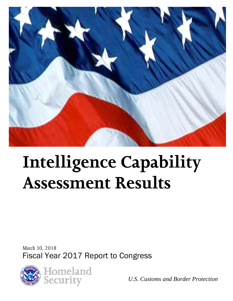

# **Intelligence Capability Assessment Results**

*March 30, 2018*  Fiscal Year 2017 Report to Congress



*U.S. Customs and Border Protection*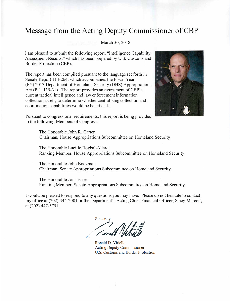## **Message from the Acting Deputy Commissioner of CBP**

#### March 30, 2018

I am pleased to submit the following report, "Intelligence Capability Assessment Results," which has been prepared by U.S. Customs and Border Protection (CBP).

The report has been compiled pursuant to the language set forth in Senate Report 114-264, which accompanies the Fiscal Year (FY) 2017 Department of Homeland Security (DHS) Appropriations Act (P.L. 115-31). The report provides an assessment of CBP's current tactical intelligence and law enforcement information collection assets, to determine whether centralizing collection and coordination capabilities would be beneficial.



Pursuant to congressional requirements, this report is being provided to the following Members of Congress:

> The Honorable John R. Carter Chairman, House Appropriations Subcommittee on Homeland Security

The Honorable Lucille Roybal-Allard Ranking Member, House Appropriations Subcommittee on Homeland Security

The Honorable John Boozman Chairman, Senate Appropriations Subcommittee on Homeland Security

The Honorable Jon Tester Ranking Member, Senate Appropriations Subcommittee on Homeland Security

I would be pleased to respond to any questions you may have. Please do not hesitate to contact my office at (202) 344-2001 or the Department's Acting Chief Financial Officer, Stacy Marcott, at (202) 447-5751.

/, Sincerely,  $\sum_{k=1}^{\infty}$  $\sqrt{M}$ Louis Water Protection

Ronald D. Vitiello **Acting Deputy Commissioner** U.S. Customs and Border Protection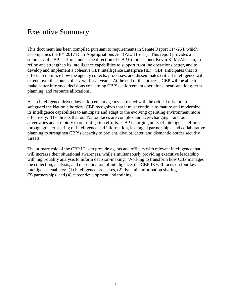## Executive Summary

This document has been compiled pursuant to requirements in Senate Report 114-264, which accompanies the FY 2017 DHS Appropriations Act (P.L. 115-31). This report provides a summary of CBP's efforts, under the direction of CBP Commissioner Kevin K. McAleenan, to refine and strengthen its intelligence capabilities to support frontline operations better, and to develop and implement a cohesive CBP Intelligence Enterprise (IE). CBP anticipates that its efforts to optimize how the agency collects, processes, and disseminates critical intelligence will extend over the course of several fiscal years. At the end of this process, CBP will be able to make better informed decisions concerning CBP's enforcement operations, near- and long-term planning, and resource allocations.

As an intelligence-driven law enforcement agency entrusted with the critical mission to safeguard the Nation's borders, CBP recognizes that it must continue to mature and modernize its intelligence capabilities to anticipate and adapt to the evolving operating environment more effectively. The threats that our Nation faces are complex and ever-changing—and our adversaries adapt rapidly to our mitigation efforts. CBP is forging unity of intelligence efforts through greater sharing of intelligence and information, leveraged partnerships, and collaborative planning to strengthen CBP's capacity to prevent, disrupt, deter, and dismantle border security threats.

The primary role of the CBP IE is to provide agents and officers with relevant intelligence that will increase their situational awareness, while simultaneously providing executive leadership with high-quality analysis to inform decision-making. Working to transform how CBP manages the collection, analysis, and dissemination of intelligence, the CBP IE will focus on four key intelligence enablers: (1) intelligence processes, (2) dynamic information sharing, (3) partnerships, and (4) career development and training.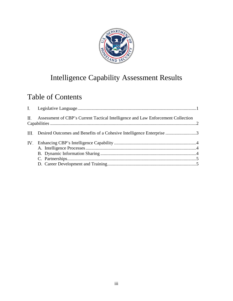

# Intelligence Capability Assessment Results

# Table of Contents

|     | II. Assessment of CBP's Current Tactical Intelligence and Law Enforcement Collection |  |
|-----|--------------------------------------------------------------------------------------|--|
|     | III. Desired Outcomes and Benefits of a Cohesive Intelligence Enterprise 3           |  |
| IV. |                                                                                      |  |
|     |                                                                                      |  |
|     |                                                                                      |  |
|     |                                                                                      |  |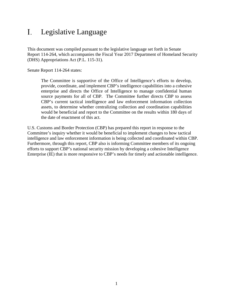#### <span id="page-4-0"></span>L. Legislative Language

This document was compiled pursuant to the legislative language set forth in Senate Report 114-264, which accompanies the Fiscal Year 2017 Department of Homeland Security (DHS) Appropriations Act (P.L. 115-31).

Senate Report 114-264 states:

The Committee is supportive of the Office of Intelligence's efforts to develop, provide, coordinate, and implement CBP's intelligence capabilities into a cohesive enterprise and directs the Office of Intelligence to manage confidential human source payments for all of CBP. The Committee further directs CBP to assess CBP's current tactical intelligence and law enforcement information collection assets, to determine whether centralizing collection and coordination capabilities would be beneficial and report to the Committee on the results within 180 days of the date of enactment of this act.

U.S. Customs and Border Protection (CBP) has prepared this report in response to the Committee's inquiry whether it would be beneficial to implement changes to how tactical intelligence and law enforcement information is being collected and coordinated within CBP. Furthermore, through this report, CBP also is informing Committee members of its ongoing efforts to support CBP's national security mission by developing a cohesive Intelligence Enterprise (IE) that is more responsive to CBP's needs for timely and actionable intelligence.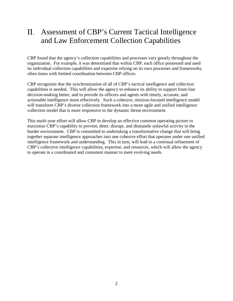#### <span id="page-5-0"></span> $\Pi$ . Assessment of CBP's Current Tactical Intelligence and Law Enforcement Collection Capabilities

CBP found that the agency's collection capabilities and processes vary greatly throughout the organization. For example, it was determined that within CBP, each office possessed and used its individual collection capabilities and expertise relying on its own processes and frameworks, often times with limited coordination between CBP offices.

CBP recognizes that the synchronization of all of CBP's tactical intelligence and collection capabilities is needed. This will allow the agency to enhance its ability to support front-line decision-making better, and to provide its officers and agents with timely, accurate, and actionable intelligence more effectively. Such a cohesive, mission-focused intelligence model will transform CBP's diverse collection framework into a more agile and unified intelligence collection model that is more responsive to the dynamic threat environment.

This multi-year effort will allow CBP to develop an effective common operating picture to maximize CBP's capability to prevent, deter, disrupt, and dismantle unlawful activity in the border environment. CBP is committed to undertaking a transformative change that will bring together separate intelligence approaches into one cohesive effort that operates under one unified intelligence framework and understanding. This in turn, will lead to a continual refinement of CBP's collective intelligence capabilities, expertise, and resources, which will allow the agency to operate in a coordinated and consistent manner to meet evolving needs.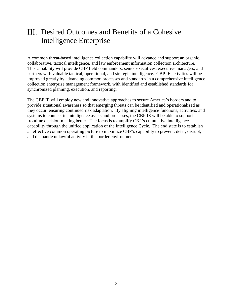## <span id="page-6-0"></span>III. Desired Outcomes and Benefits of a Cohesive Intelligence Enterprise

A common threat-based intelligence collection capability will advance and support an organic, collaborative, tactical intelligence, and law enforcement information collection architecture. This capability will provide CBP field commanders, senior executives, executive managers, and partners with valuable tactical, operational, and strategic intelligence. CBP IE activities will be improved greatly by advancing common processes and standards in a comprehensive intelligence collection enterprise management framework, with identified and established standards for synchronized planning, execution, and reporting.

The CBP IE will employ new and innovative approaches to secure America's borders and to provide situational awareness so that emerging threats can be identified and operationalized as they occur, ensuring continued risk adaptation. By aligning intelligence functions, activities, and systems to connect its intelligence assets and processes, the CBP IE will be able to support frontline decision-making better. The focus is to amplify CBP's cumulative intelligence capability through the unified application of the Intelligence Cycle. The end state is to establish an effective common operating picture to maximize CBP's capability to prevent, deter, disrupt, and dismantle unlawful activity in the border environment.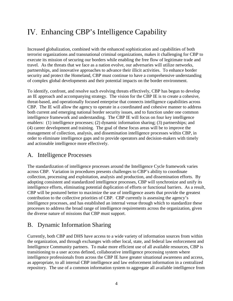# <span id="page-7-0"></span>Enhancing CBP's Intelligence Capability

Increased globalization, combined with the enhanced sophistication and capabilities of both terrorist organizations and transnational criminal organizations, makes it challenging for CBP to execute its mission of securing our borders while enabling the free flow of legitimate trade and travel. As the threats that we face as a nation evolve, our adversaries will utilize networks, partnerships, and innovative approaches to advance their illicit activities. To enhance border security and protect the Homeland, CBP must continue to have a comprehensive understanding of complex global developments and their potential impacts on the border environment.

To identify, confront, and resolve such evolving threats effectively, CBP has begun to develop an IE approach and accompanying strategy. The vision for the CBP IE is to create a cohesive, threat-based, and operationally focused enterprise that connects intelligence capabilities across CBP. The IE will allow the agency to operate in a coordinated and cohesive manner to address both current and emerging national border security issues, and to function under one common intelligence framework and understanding. The CBP IE will focus on four key intelligence enablers: (1) intelligence processes; (2) dynamic information sharing; (3) partnerships; and (4) career development and training. The goal of these focus areas will be to improve the management of collection, analysis, and dissemination intelligence processes within CBP, in order to eliminate intelligence gaps and to provide operators and decision-makers with timely and actionable intelligence more effectively.

## <span id="page-7-1"></span>A. Intelligence Processes

The standardization of intelligence processes around the Intelligence Cycle framework varies across CBP. Variation in procedures presents challenges to CBP's ability to coordinate collection, processing and exploitation, analysis and production, and dissemination efforts. By adopting consistent and standardized intelligence processes, CBP will synchronize and unify its intelligence efforts, eliminating potential duplication of efforts or functional barriers. As a result, CBP will be postured better to maximize the use of intelligence assets that provide the greatest contribution to the collective priorities of CBP. CBP currently is assessing the agency's intelligence processes, and has established an internal venue through which to standardize these processes to address the broad range of intelligence requirements across the organization, given the diverse nature of missions that CBP must support.

## <span id="page-7-2"></span>B. Dynamic Information Sharing

Currently, both CBP and DHS have access to a wide variety of information sources from within the organization, and through exchanges with other local, state, and federal law enforcement and Intelligence Community partners. To make more efficient use of all available resources, CBP is transitioning to a user access defined, collaborative intelligence processing system where intelligence professionals from across the CBP IE have greater situational awareness and access, as appropriate, to all internal CBP intelligence and law enforcement information in a centralized repository. The use of a common information system to aggregate all available intelligence from